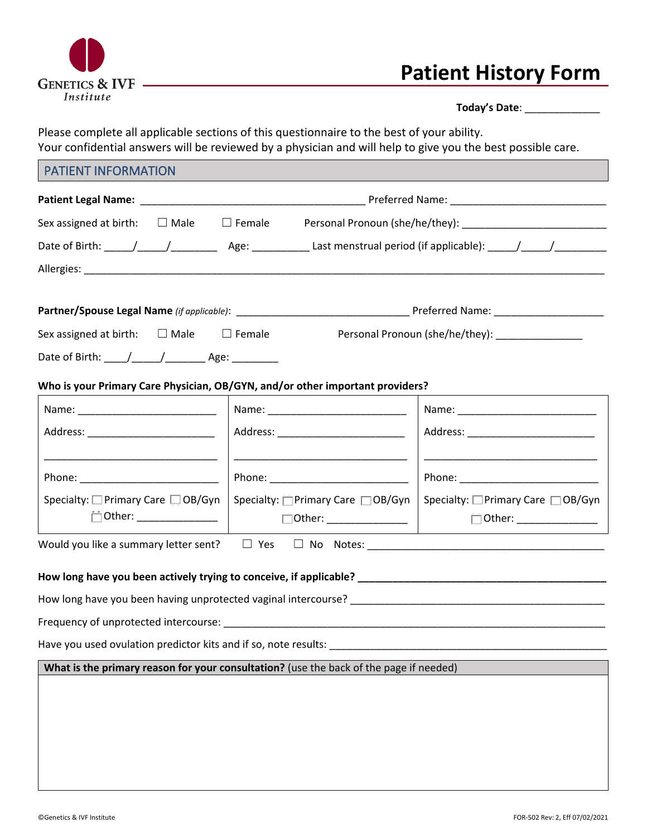

# **Patient History Form**

|                                                                                        | Sex assigned at birth: $\square$ Male $\square$ Female Personal Pronoun (she/he/they): |
|----------------------------------------------------------------------------------------|----------------------------------------------------------------------------------------|
|                                                                                        |                                                                                        |
|                                                                                        |                                                                                        |
|                                                                                        |                                                                                        |
|                                                                                        |                                                                                        |
| Sex assigned at birth: $\Box$ Male $\Box$ Female                                       | Personal Pronoun (she/he/they): _______________                                        |
|                                                                                        |                                                                                        |
| Who is your Primary Care Physician, OB/GYN, and/or other important providers?          |                                                                                        |
|                                                                                        |                                                                                        |
| Address: ____________________________                                                  | Address: _____________________________                                                 |
|                                                                                        |                                                                                        |
| Phone: __________________________                                                      |                                                                                        |
| Specialty: $\square$ Primary Care $\square$ OB/Gyn                                     | Specialty: $\Box$ Primary Care $\Box$ OB/Gyn<br>Specialty: □ Primary Care □ OB/Gyn     |
|                                                                                        | $\Box$ Other: ________________                                                         |
|                                                                                        |                                                                                        |
|                                                                                        |                                                                                        |
|                                                                                        |                                                                                        |
|                                                                                        |                                                                                        |
|                                                                                        |                                                                                        |
|                                                                                        |                                                                                        |
| What is the primary reason for your consultation? (use the back of the page if needed) |                                                                                        |
|                                                                                        |                                                                                        |
|                                                                                        |                                                                                        |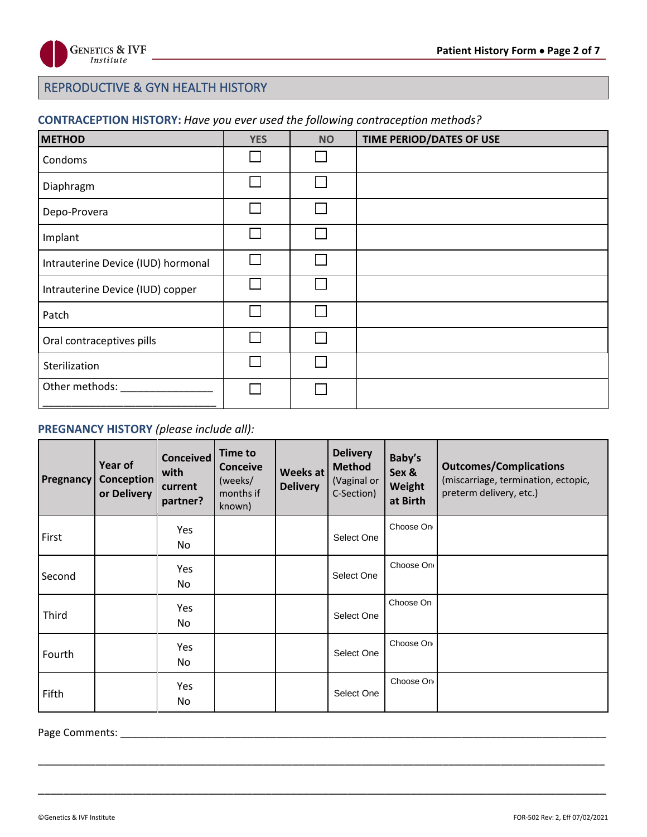

## REPRODUCTIVE & GYN HEALTH HISTORY

## **CONTRACEPTION HISTORY:** *Have you ever used the following contraception methods?*

| <b>METHOD</b>                      | <b>YES</b>   | <b>NO</b> | TIME PERIOD/DATES OF USE |
|------------------------------------|--------------|-----------|--------------------------|
| Condoms                            | L            |           |                          |
| Diaphragm                          | I.           |           |                          |
| Depo-Provera                       | I.           |           |                          |
| Implant                            | $\mathbf{L}$ |           |                          |
| Intrauterine Device (IUD) hormonal | L            |           |                          |
| Intrauterine Device (IUD) copper   |              |           |                          |
| Patch                              | L            |           |                          |
| Oral contraceptives pills          | $1^{\circ}$  |           |                          |
| Sterilization                      |              |           |                          |
| Other methods:                     |              |           |                          |
|                                    |              |           |                          |

## **PREGNANCY HISTORY** *(please include all):*

| <b>Pregnancy</b> | Year of<br>Conception<br>or Delivery | <b>Conceived</b><br>with<br>current<br>partner? | <b>Time to</b><br><b>Conceive</b><br>(weeks/<br>months if<br>known) | Weeks at<br><b>Delivery</b> | <b>Delivery</b><br><b>Method</b><br>(Vaginal or<br>C-Section) | Baby's<br>Sex &<br>Weight<br>at Birth | <b>Outcomes/Complications</b><br>(miscarriage, termination, ectopic,<br>preterm delivery, etc.) |
|------------------|--------------------------------------|-------------------------------------------------|---------------------------------------------------------------------|-----------------------------|---------------------------------------------------------------|---------------------------------------|-------------------------------------------------------------------------------------------------|
| First            |                                      | Yes<br>No.                                      |                                                                     |                             | Select One                                                    | Choose On                             |                                                                                                 |
| Second           |                                      | Yes.<br>No                                      |                                                                     |                             | Select One                                                    | Choose On                             |                                                                                                 |
| Third            |                                      | Yes<br>No                                       |                                                                     |                             | Select One                                                    | Choose On                             |                                                                                                 |
| Fourth           |                                      | Yes.<br>No                                      |                                                                     |                             | Select One                                                    | Choose On                             |                                                                                                 |
| Fifth            |                                      | Yes<br>No                                       |                                                                     |                             | Select One                                                    | Choose On                             |                                                                                                 |

\_\_\_\_\_\_\_\_\_\_\_\_\_\_\_\_\_\_\_\_\_\_\_\_\_\_\_\_\_\_\_\_\_\_\_\_\_\_\_\_\_\_\_\_\_\_\_\_\_\_\_\_\_\_\_\_\_\_\_\_\_\_\_\_\_\_\_\_\_\_\_\_\_\_\_\_\_\_\_\_\_\_\_\_\_\_\_\_\_\_\_\_\_\_\_\_\_\_

\_\_\_\_\_\_\_\_\_\_\_\_\_\_\_\_\_\_\_\_\_\_\_\_\_\_\_\_\_\_\_\_\_\_\_\_\_\_\_\_\_\_\_\_\_\_\_\_\_\_\_\_\_\_\_\_\_\_\_\_\_\_\_\_\_\_\_\_\_\_\_\_\_\_\_\_\_\_\_\_\_\_\_\_\_\_\_\_\_\_

Page Comments: \_\_\_\_\_\_\_\_\_\_\_\_\_\_\_\_\_\_\_\_\_\_\_\_\_\_\_\_\_\_\_\_\_\_\_\_\_\_\_\_\_\_\_\_\_\_\_\_\_\_\_\_\_\_\_\_\_\_\_\_\_\_\_\_\_\_\_\_\_\_\_\_\_\_\_\_\_\_\_\_\_\_\_\_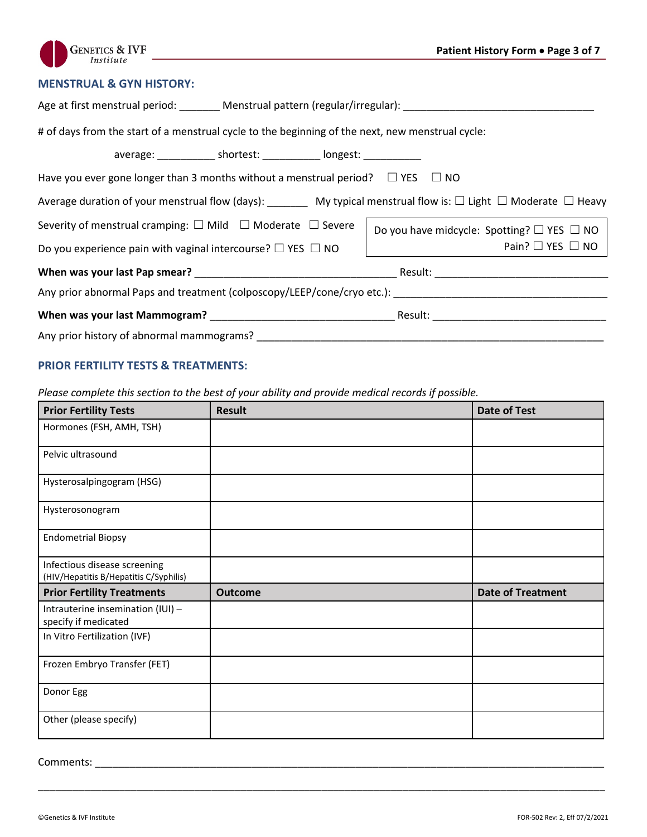

#### **MENSTRUAL & GYN HISTORY:**

| Age at first menstrual period: _______ Menstrual pattern (regular/irregular): ________________________________                                                                                                                                                                                                 |  |  |  |  |  |  |
|----------------------------------------------------------------------------------------------------------------------------------------------------------------------------------------------------------------------------------------------------------------------------------------------------------------|--|--|--|--|--|--|
| # of days from the start of a menstrual cycle to the beginning of the next, new menstrual cycle:                                                                                                                                                                                                               |  |  |  |  |  |  |
| average: ______________ shortest: ____________ longest: ____________                                                                                                                                                                                                                                           |  |  |  |  |  |  |
| Have you ever gone longer than 3 months without a menstrual period? $\square$ YES $\square$ NO                                                                                                                                                                                                                 |  |  |  |  |  |  |
| Average duration of your menstrual flow (days): _________ My typical menstrual flow is: $\Box$ Light $\Box$ Moderate $\Box$ Heavy                                                                                                                                                                              |  |  |  |  |  |  |
| Severity of menstrual cramping: $\square$ Mild $\square$ Moderate $\square$ Severe<br>Do you have midcycle: Spotting? $\Box$ YES $\Box$ NO                                                                                                                                                                     |  |  |  |  |  |  |
| Pain? $\square$ YES $\square$ NO<br>$\begin{array}{c} \begin{array}{c} \begin{array}{c} \begin{array}{c} \begin{array}{c} \end{array} \\ \end{array} \\ \begin{array}{c} \end{array} \end{array} \end{array} \end{array} \end{array}$<br>Do you experience pain with vaginal intercourse? $\Box$ YES $\Box$ NO |  |  |  |  |  |  |
|                                                                                                                                                                                                                                                                                                                |  |  |  |  |  |  |
|                                                                                                                                                                                                                                                                                                                |  |  |  |  |  |  |
|                                                                                                                                                                                                                                                                                                                |  |  |  |  |  |  |
| Any prior history of abnormal mammograms? The contract of the contract of the contract of the contract of the contract of the contract of the contract of the contract of the contract of the contract of the contract of the                                                                                  |  |  |  |  |  |  |

## **PRIOR FERTILITY TESTS & TREATMENTS:**

*Please complete this section to the best of your ability and provide medical records if possible.*

| <b>Prior Fertility Tests</b>                                           | <b>Result</b>  | <b>Date of Test</b>      |
|------------------------------------------------------------------------|----------------|--------------------------|
| Hormones (FSH, AMH, TSH)                                               |                |                          |
| Pelvic ultrasound                                                      |                |                          |
| Hysterosalpingogram (HSG)                                              |                |                          |
| Hysterosonogram                                                        |                |                          |
| <b>Endometrial Biopsy</b>                                              |                |                          |
| Infectious disease screening<br>(HIV/Hepatitis B/Hepatitis C/Syphilis) |                |                          |
| <b>Prior Fertility Treatments</b>                                      | <b>Outcome</b> | <b>Date of Treatment</b> |
| Intrauterine insemination (IUI) -<br>specify if medicated              |                |                          |
| In Vitro Fertilization (IVF)                                           |                |                          |
| Frozen Embryo Transfer (FET)                                           |                |                          |
| Donor Egg                                                              |                |                          |
| Other (please specify)                                                 |                |                          |

\_\_\_\_\_\_\_\_\_\_\_\_\_\_\_\_\_\_\_\_\_\_\_\_\_\_\_\_\_\_\_\_\_\_\_\_\_\_\_\_\_\_\_\_\_\_\_\_\_\_\_\_\_\_\_\_\_\_\_\_\_\_\_\_\_\_\_\_\_\_\_\_\_\_\_\_\_\_\_\_\_\_\_\_\_\_\_\_\_\_\_\_\_\_\_\_\_\_

Comments: \_\_\_\_\_\_\_\_\_\_\_\_\_\_\_\_\_\_\_\_\_\_\_\_\_\_\_\_\_\_\_\_\_\_\_\_\_\_\_\_\_\_\_\_\_\_\_\_\_\_\_\_\_\_\_\_\_\_\_\_\_\_\_\_\_\_\_\_\_\_\_\_\_\_\_\_\_\_\_\_\_\_\_\_\_\_\_\_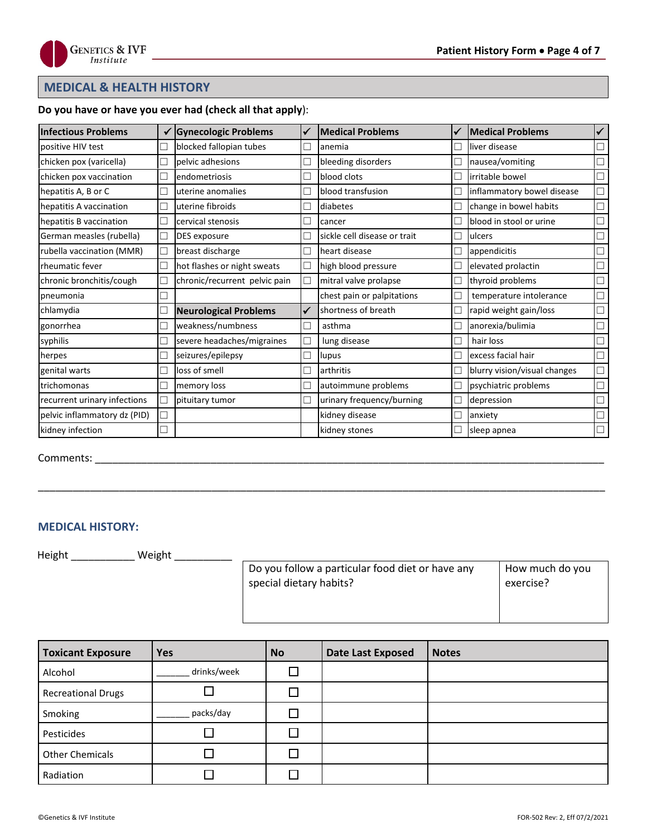

## **MEDICAL & HEALTH HISTORY**

#### **Do you have or have you ever had (check all that apply**):

| <b>Infectious Problems</b>   |        | <b>Gynecologic Problems</b>   | ✔ | <b>Medical Problems</b>      |    | <b>Medical Problems</b>      | $\checkmark$ |
|------------------------------|--------|-------------------------------|---|------------------------------|----|------------------------------|--------------|
| positive HIV test            | Г      | blocked fallopian tubes       | П | anemia                       | П  | liver disease                |              |
| chicken pox (varicella)      | Г      | pelvic adhesions              | г | bleeding disorders           | J. | nausea/vomiting              |              |
| chicken pox vaccination      | Г      | endometriosis                 | г | blood clots                  | П  | irritable bowel              |              |
| hepatitis A, B or C          | Г      | uterine anomalies             | Г | blood transfusion            | J. | inflammatory bowel disease   |              |
| hepatitis A vaccination      | E,     | uterine fibroids              | П | diabetes                     | П  | change in bowel habits       |              |
| hepatitis B vaccination      | Г      | cervical stenosis             |   | cancer                       | ×. | blood in stool or urine      |              |
| German measles (rubella)     | □      | DES exposure                  |   | sickle cell disease or trait | Π  | ulcers                       |              |
| rubella vaccination (MMR)    | Г      | breast discharge              | Г | heart disease                | п  | appendicitis                 |              |
| <b>Theumatic fever</b>       | Г      | hot flashes or night sweats   | □ | high blood pressure          | □  | elevated prolactin           |              |
| chronic bronchitis/cough     | Г      | chronic/recurrent pelvic pain | □ | mitral valve prolapse        | П  | thyroid problems             |              |
| pneumonia                    | Γ      |                               |   | chest pain or palpitations   | П  | temperature intolerance      |              |
| chlamydia                    | ⊏      | <b>Neurological Problems</b>  | ✔ | shortness of breath          | □  | rapid weight gain/loss       |              |
| gonorrhea                    | Г      | weakness/numbness             | □ | asthma                       | J. | anorexia/bulimia             |              |
| syphilis                     | c      | severe headaches/migraines    | □ | lung disease                 | □  | hair loss                    |              |
| herpes                       | Г      | seizures/epilepsy             |   | lupus                        | ┓  | excess facial hair           |              |
| genital warts                | Г      | loss of smell                 | Е | arthritis                    | П  | blurry vision/visual changes |              |
| trichomonas                  | Г      | memory loss                   | Г | autoimmune problems          | п  | psychiatric problems         |              |
| recurrent urinary infections | Г      | pituitary tumor               | □ | urinary frequency/burning    | П  | depression                   |              |
| pelvic inflammatory dz (PID) | Г      |                               |   | kidney disease               | П  | anxiety                      |              |
| kidney infection             | $\Box$ |                               |   | kidney stones                |    | sleep apnea                  |              |

\_\_\_\_\_\_\_\_\_\_\_\_\_\_\_\_\_\_\_\_\_\_\_\_\_\_\_\_\_\_\_\_\_\_\_\_\_\_\_\_\_\_\_\_\_\_\_\_\_\_\_\_\_\_\_\_\_\_\_\_\_\_\_\_\_\_\_\_\_\_\_\_\_\_\_\_\_\_\_\_\_\_\_\_\_\_\_\_\_\_\_\_\_\_\_\_\_\_

Comments: \_\_\_\_\_\_\_\_\_\_\_\_\_\_\_\_\_\_\_\_\_\_\_\_\_\_\_\_\_\_\_\_\_\_\_\_\_\_\_\_\_\_\_\_\_\_\_\_\_\_\_\_\_\_\_\_\_\_\_\_\_\_\_\_\_\_\_\_\_\_\_\_\_\_\_\_\_\_\_\_\_\_\_\_\_\_\_\_

#### **MEDICAL HISTORY:**

Height \_\_\_\_\_\_\_\_\_\_\_\_\_\_ Weight \_\_\_\_\_\_\_\_\_\_\_\_

| Do you follow a particular food diet or have any | How much do you |
|--------------------------------------------------|-----------------|
| special dietary habits?                          | exercise?       |
|                                                  |                 |

| <b>Toxicant Exposure</b>  | <b>Yes</b>  | <b>No</b> | <b>Date Last Exposed</b> | <b>Notes</b> |
|---------------------------|-------------|-----------|--------------------------|--------------|
| Alcohol                   | drinks/week |           |                          |              |
| <b>Recreational Drugs</b> |             |           |                          |              |
| Smoking                   | packs/day   |           |                          |              |
| Pesticides                |             |           |                          |              |
| <b>Other Chemicals</b>    |             |           |                          |              |
| Radiation                 |             |           |                          |              |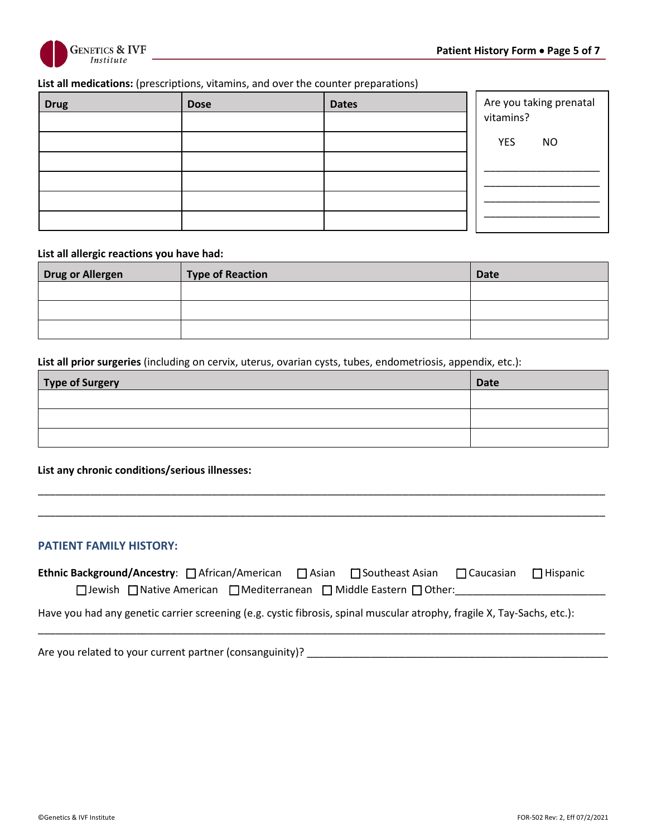

#### **List all medications:** (prescriptions, vitamins, and over the counter preparations)

| <b>Drug</b> | <b>Dose</b> | <b>Dates</b> | Are you taking prenatal<br>vitamins? |
|-------------|-------------|--------------|--------------------------------------|
|             |             |              |                                      |
|             |             |              | <b>YES</b><br><b>NO</b>              |
|             |             |              |                                      |
|             |             |              |                                      |
|             |             |              |                                      |

#### **List all allergic reactions you have had:**

| <b>Drug or Allergen</b> | <b>Type of Reaction</b> | <b>Date</b> |
|-------------------------|-------------------------|-------------|
|                         |                         |             |
|                         |                         |             |
|                         |                         |             |

**List all prior surgeries** (including on cervix, uterus, ovarian cysts, tubes, endometriosis, appendix, etc.):

| Type of Surgery | <b>Date</b> |
|-----------------|-------------|
|                 |             |
|                 |             |
|                 |             |

\_\_\_\_\_\_\_\_\_\_\_\_\_\_\_\_\_\_\_\_\_\_\_\_\_\_\_\_\_\_\_\_\_\_\_\_\_\_\_\_\_\_\_\_\_\_\_\_\_\_\_\_\_\_\_\_\_\_\_\_\_\_\_\_\_\_\_\_\_\_\_\_\_\_\_\_\_\_\_\_\_\_\_\_\_\_\_\_\_\_\_\_\_\_\_\_\_\_

\_\_\_\_\_\_\_\_\_\_\_\_\_\_\_\_\_\_\_\_\_\_\_\_\_\_\_\_\_\_\_\_\_\_\_\_\_\_\_\_\_\_\_\_\_\_\_\_\_\_\_\_\_\_\_\_\_\_\_\_\_\_\_\_\_\_\_\_\_\_\_\_\_\_\_\_\_\_\_\_\_\_\_\_\_\_\_\_\_\_\_\_\_\_\_\_\_\_

**List any chronic conditions/serious illnesses:**

#### **PATIENT FAMILY HISTORY:**

| Ethnic Background/Ancestry: □ African/American □ Asian □ Southeast Asian □ Caucasian □ Hispanic |  |  |  |
|-------------------------------------------------------------------------------------------------|--|--|--|
| $\Box$ Jewish $\Box$ Native American $\Box$ Mediterranean $\Box$ Middle Eastern $\Box$ Other:   |  |  |  |

\_\_\_\_\_\_\_\_\_\_\_\_\_\_\_\_\_\_\_\_\_\_\_\_\_\_\_\_\_\_\_\_\_\_\_\_\_\_\_\_\_\_\_\_\_\_\_\_\_\_\_\_\_\_\_\_\_\_\_\_\_\_\_\_\_\_\_\_\_\_\_\_\_\_\_\_\_\_\_\_\_\_\_\_\_\_\_\_\_\_\_\_\_\_\_\_\_\_

Have you had any genetic carrier screening (e.g. cystic fibrosis, spinal muscular atrophy, fragile X, Tay-Sachs, etc.):

Are you related to your current partner (consanguinity)? \_\_\_\_\_\_\_\_\_\_\_\_\_\_\_\_\_\_\_\_\_\_\_\_\_\_\_\_\_\_\_\_\_\_\_\_\_\_\_\_\_\_\_\_\_\_\_\_\_\_\_\_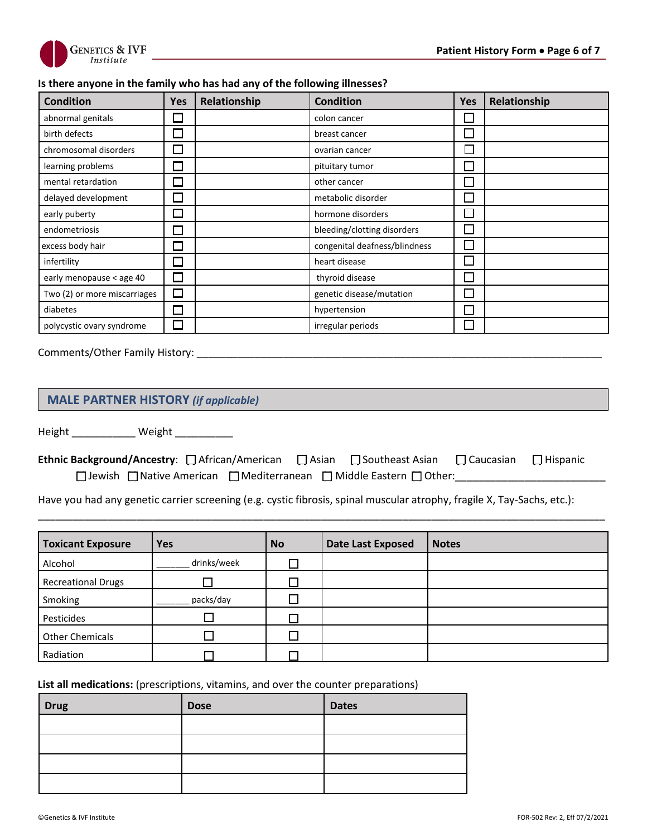

#### **Is there anyone in the family who has had any of the following illnesses?**

| <b>Condition</b>             | Yes                         | Relationship | <b>Condition</b>              | <b>Yes</b>   | Relationship |
|------------------------------|-----------------------------|--------------|-------------------------------|--------------|--------------|
| abnormal genitals            |                             |              | colon cancer                  |              |              |
| birth defects                | l.                          |              | breast cancer                 |              |              |
| chromosomal disorders        |                             |              | ovarian cancer                | $\mathsf{L}$ |              |
| learning problems            | J                           |              | pituitary tumor               |              |              |
| mental retardation           | $\mathcal{L}$               |              | other cancer                  |              |              |
| delayed development          | $\overline{\phantom{a}}$    |              | metabolic disorder            |              |              |
| early puberty                | $\mathcal{L}_{\mathcal{A}}$ |              | hormone disorders             |              |              |
| endometriosis                | $\overline{\phantom{a}}$    |              | bleeding/clotting disorders   |              |              |
| excess body hair             | $\mathcal{L}_{\mathcal{A}}$ |              | congenital deafness/blindness |              |              |
| infertility                  | $\overline{\phantom{0}}$    |              | heart disease                 |              |              |
| early menopause < age 40     | $\Box$                      |              | thyroid disease               |              |              |
| Two (2) or more miscarriages | $\Box$                      |              | genetic disease/mutation      |              |              |
| diabetes                     | $\mathcal{L}_{\mathcal{A}}$ |              | hypertension                  |              |              |
| polycystic ovary syndrome    | ⊔                           |              | irregular periods             |              |              |

Comments/Other Family History: \_\_\_\_\_\_\_\_\_\_\_\_\_\_\_\_\_\_\_\_\_\_\_\_\_\_\_\_\_\_\_\_\_\_\_\_\_\_\_\_\_\_\_\_\_\_\_\_\_\_\_\_\_\_\_\_\_\_\_\_\_\_\_\_\_\_\_\_\_\_

### **MALE PARTNER HISTORY** *(if applicable)*

Height \_\_\_\_\_\_\_\_\_\_\_\_\_ Weight \_\_\_\_\_\_\_\_\_\_\_

| <b>Ethnic Background/Ancestry</b> : $\Box$ African/American $\Box$ Asian $\Box$ Southeast Asian $\Box$ Caucasian $\Box$ Hispanic |  |  |  |
|----------------------------------------------------------------------------------------------------------------------------------|--|--|--|
| $\Box$ Jewish $\Box$ Native American $\Box$ Mediterranean $\Box$ Middle Eastern $\Box$ Other:                                    |  |  |  |

\_\_\_\_\_\_\_\_\_\_\_\_\_\_\_\_\_\_\_\_\_\_\_\_\_\_\_\_\_\_\_\_\_\_\_\_\_\_\_\_\_\_\_\_\_\_\_\_\_\_\_\_\_\_\_\_\_\_\_\_\_\_\_\_\_\_\_\_\_\_\_\_\_\_\_\_\_\_\_\_\_\_\_\_\_\_\_\_\_\_\_\_\_\_\_\_\_\_

Have you had any genetic carrier screening (e.g. cystic fibrosis, spinal muscular atrophy, fragile X, Tay-Sachs, etc.):

| <b>Toxicant Exposure</b>  | <b>Yes</b>  | <b>No</b> | <b>Date Last Exposed</b> | <b>Notes</b> |
|---------------------------|-------------|-----------|--------------------------|--------------|
| Alcohol                   | drinks/week |           |                          |              |
| <b>Recreational Drugs</b> |             |           |                          |              |
| Smoking                   | packs/day   |           |                          |              |
| Pesticides                |             |           |                          |              |
| <b>Other Chemicals</b>    |             |           |                          |              |
| Radiation                 |             |           |                          |              |

List all medications: (prescriptions, vitamins, and over the counter preparations)

| <b>Drug</b> | <b>Dose</b> | <b>Dates</b> |
|-------------|-------------|--------------|
|             |             |              |
|             |             |              |
|             |             |              |
|             |             |              |